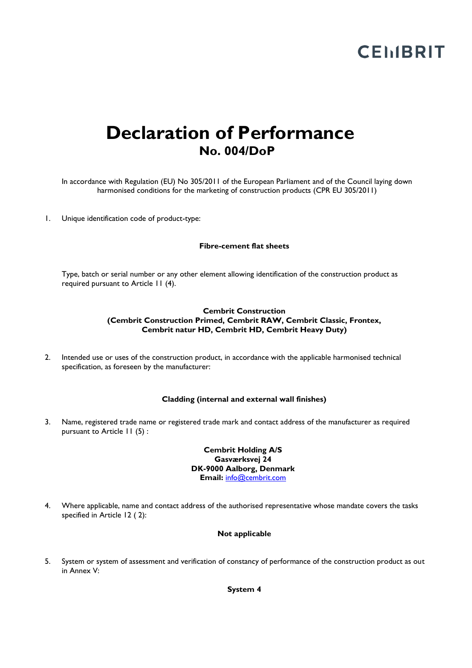# **CEMBRIT**

### **Declaration of Performance No. 004/DoP**

In accordance with Regulation (EU) No 305/2011 of the European Parliament and of the Council laying down harmonised conditions for the marketing of construction products (CPR EU 305/2011)

1. Unique identification code of product-type:

### **Fibre-cement flat sheets**

Type, batch or serial number or any other element allowing identification of the construction product as required pursuant to Article 11 (4).

### **Cembrit Construction (Cembrit Construction Primed, Cembrit RAW, Cembrit Classic, Frontex, Cembrit natur HD, Cembrit HD, Cembrit Heavy Duty)**

2. Intended use or uses of the construction product, in accordance with the applicable harmonised technical specification, as foreseen by the manufacturer:

### **Cladding (internal and external wall finishes)**

3. Name, registered trade name or registered trade mark and contact address of the manufacturer as required pursuant to Article 11 (5) :

> **Cembrit Holding A/S Gasværksvej 24 DK-9000 Aalborg, Denmark Email:** [info@cembrit.com](mailto:info@cembrit.com)

4. Where applicable, name and contact address of the authorised representative whose mandate covers the tasks specified in Article 12 ( 2):

### **Not applicable**

5. System or system of assessment and verification of constancy of performance of the construction product as out in Annex V:

**System 4**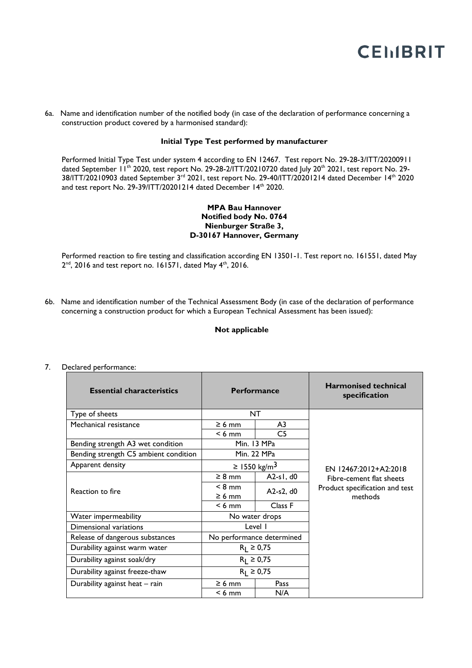## **CEMBRIT**

6a. Name and identification number of the notified body (in case of the declaration of performance concerning a construction product covered by a harmonised standard):

### **Initial Type Test performed by manufacturer**

Performed Initial Type Test under system 4 according to EN 12467. Test report No. 29-28-3/ITT/20200911 dated September 11<sup>th</sup> 2020, test report No. 29-28-2/ITT/20210720 dated July 20<sup>th</sup> 2021, test report No. 29-38/ITT/20210903 dated September 3rd 2021, test report No. 29-40/ITT/20201214 dated December 14th 2020 and test report No. 29-39/ITT/20201214 dated December 14th 2020.

### **MPA Bau Hannover Notified body No. 0764 Nienburger Straße 3, D-30167 Hannover, Germany**

Performed reaction to fire testing and classification according EN 13501-1. Test report no. 161551, dated May  $2^{nd}$ , 2016 and test report no. 161571, dated May  $4^{th}$ , 2016.

6b. Name and identification number of the Technical Assessment Body (in case of the declaration of performance concerning a construction product for which a European Technical Assessment has been issued):

#### **Not applicable**

| <b>Essential characteristics</b>      | <b>Performance</b>        |             | <b>Harmonised technical</b><br>specification                          |
|---------------------------------------|---------------------------|-------------|-----------------------------------------------------------------------|
| Type of sheets                        | <b>NT</b>                 |             |                                                                       |
| Mechanical resistance                 | $\geq 6$ mm               | A3          |                                                                       |
|                                       | $< 6$ mm                  | C5          |                                                                       |
| Bending strength A3 wet condition     | Min. 13 MPa               |             |                                                                       |
| Bending strength C5 ambient condition | Min. 22 MPa               |             |                                                                       |
| Apparent density                      | ≥ 1550 kg/m <sup>3</sup>  |             | EN 12467:2012+A2:2018                                                 |
| Reaction to fire                      | $\geq 8$ mm               | $A2-s1, d0$ | Fibre-cement flat sheets<br>Product specification and test<br>methods |
|                                       | $< 8$ mm                  | $A2-s2, d0$ |                                                                       |
|                                       | $\geq 6$ mm               |             |                                                                       |
|                                       | $< 6$ mm                  | Class F     |                                                                       |
| Water impermeability                  | No water drops            |             |                                                                       |
| Dimensional variations                | Level I                   |             |                                                                       |
| Release of dangerous substances       | No performance determined |             |                                                                       |
| Durability against warm water         | $R_1 \ge 0.75$            |             |                                                                       |
| Durability against soak/dry           | $R_1 \ge 0.75$            |             |                                                                       |
| Durability against freeze-thaw        | $R_1 \ge 0.75$            |             |                                                                       |
| Durability against heat - rain        | $\geq 6$ mm               | Pass        |                                                                       |
|                                       | $< 6$ mm                  | N/A         |                                                                       |

7. Declared performance: